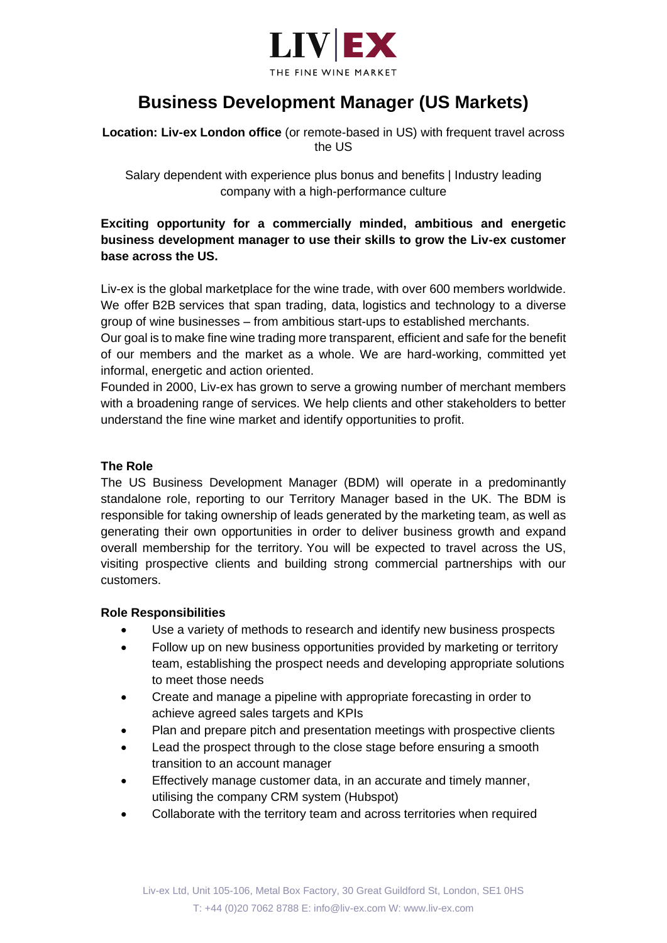

# **Business Development Manager (US Markets)**

**Location: Liv-ex London office** (or remote-based in US) with frequent travel across the US

Salary dependent with experience plus bonus and benefits | Industry leading company with a high-performance culture

## **Exciting opportunity for a commercially minded, ambitious and energetic business development manager to use their skills to grow the Liv-ex customer base across the US.**

Liv-ex is the global marketplace for the wine trade, with over 600 members worldwide. We offer B2B services that span trading, data, logistics and technology to a diverse group of wine businesses – from ambitious start-ups to established merchants.

Our goal is to make fine wine trading more transparent, efficient and safe for the benefit of our members and the market as a whole. We are hard-working, committed yet informal, energetic and action oriented.

Founded in 2000, Liv-ex has grown to serve a growing number of merchant members with a broadening range of services. We help clients and other stakeholders to better understand the fine wine market and identify opportunities to profit.

#### **The Role**

The US Business Development Manager (BDM) will operate in a predominantly standalone role, reporting to our Territory Manager based in the UK. The BDM is responsible for taking ownership of leads generated by the marketing team, as well as generating their own opportunities in order to deliver business growth and expand overall membership for the territory. You will be expected to travel across the US, visiting prospective clients and building strong commercial partnerships with our customers.

#### **Role Responsibilities**

- Use a variety of methods to research and identify new business prospects
- Follow up on new business opportunities provided by marketing or territory team, establishing the prospect needs and developing appropriate solutions to meet those needs
- Create and manage a pipeline with appropriate forecasting in order to achieve agreed sales targets and KPIs
- Plan and prepare pitch and presentation meetings with prospective clients
- Lead the prospect through to the close stage before ensuring a smooth transition to an account manager
- Effectively manage customer data, in an accurate and timely manner, utilising the company CRM system (Hubspot)
- Collaborate with the territory team and across territories when required